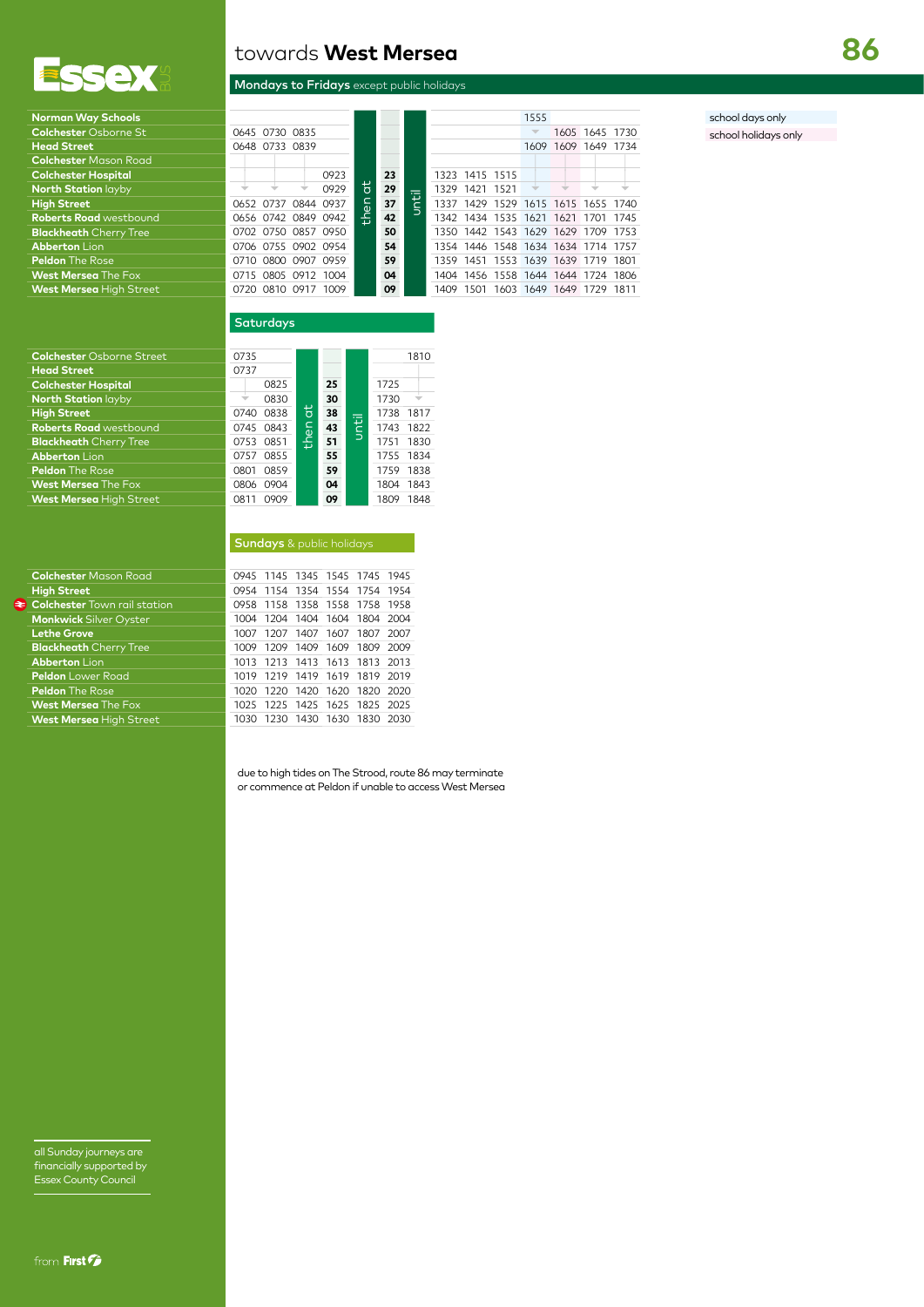

| <b>Norman Way Schools</b>               |
|-----------------------------------------|
| <b>Colchester Osborne St</b>            |
| <b>Head Street</b>                      |
| <b>Colchester Mason Road</b>            |
| <b>Colchester Hospital</b>              |
| <b>North Station layby</b>              |
| <b>High Street</b>                      |
| <b>Roberts Road</b> westbound           |
| <b>Blackheath Cherry Tree</b>           |
| <b>Abberton Lion</b>                    |
| <b>Peldon The Rose</b>                  |
| <b>West Mersea The Fox</b>              |
| <b>Materia Manageria Hitche Cancers</b> |

# **Colchester**

| <b>Colchester Mason Road</b>        |
|-------------------------------------|
| <b>High Street</b>                  |
| <b>Colchester</b> Town rail station |
| <b>Monkwick Silver Oyster</b>       |
| <b>Lethe Grove</b>                  |
| <b>Blackheath</b> Cherry Tree       |
| <b>Abberton Lion</b>                |
| <b>Peldon</b> Lower Road            |
| <b>Peldon</b> The Rose              |
| <b>West Mersea The Fox</b>          |
| Mart Morcos Ligh Ctroot             |

towards **West Mersea**

### Mondays to Fridays except public holidays

| Norman Way Schools             |                     |      |                |    |           |                |      | 1555 |                                    |                |  |
|--------------------------------|---------------------|------|----------------|----|-----------|----------------|------|------|------------------------------------|----------------|--|
| <b>Colchester Osborne St</b>   | 0645 0730 0835      |      |                |    |           |                |      |      |                                    | 1605 1645 1730 |  |
| <b>Head Street</b>             | 0648 0733 0839      |      |                |    |           |                |      | 1609 |                                    | 1609 1649 1734 |  |
| <b>Colchester</b> Mason Road   |                     |      |                |    |           |                |      |      |                                    |                |  |
| <b>Colchester Hospital</b>     |                     | 0923 |                | 23 |           | 1323 1415 1515 |      |      |                                    |                |  |
| <b>North Station layby</b>     |                     | 0929 | $\overline{a}$ | 29 | 1329 1421 |                | 1521 |      |                                    |                |  |
| <b>High Street</b>             | 0652 0737 0844 0937 |      | £٩             | 37 |           |                |      |      | 1337 1429 1529 1615 1615 1655 1740 |                |  |
| <b>Roberts Road</b> westbound  | 0656 0742 0849 0942 |      | 돞              | 42 |           |                |      |      | 1342 1434 1535 1621 1621 1701 1745 |                |  |
| <b>Blackheath</b> Cherry Tree  | 0702 0750 0857 0950 |      |                | 50 |           |                |      |      | 1350 1442 1543 1629 1629 1709 1753 |                |  |
| <b>Abberton Lion</b>           | 0706 0755 0902 0954 |      |                | 54 |           |                |      |      | 1354 1446 1548 1634 1634 1714 1757 |                |  |
| <b>Peldon</b> The Rose         | 0710 0800 0907 0959 |      |                | 59 |           |                |      |      | 1359 1451 1553 1639 1639 1719 1801 |                |  |
| <b>West Mersea</b> The Fox     | 0715 0805 0912 1004 |      |                | 04 |           |                |      |      | 1404 1456 1558 1644 1644 1724 1806 |                |  |
| <b>West Mersea</b> Hiah Street | 0720 0810 0917      | 1009 |                | 09 | 1409      | 1501           |      |      | 1603 1649 1649 1729 1811           |                |  |

## school days only

school holidays only

### **Saturdays**

| <b>Colchester</b> Osborne Street | 0735         |   |    |              |           | 1810 |
|----------------------------------|--------------|---|----|--------------|-----------|------|
| <b>Head Street</b>               | 0737         |   |    |              |           |      |
| <b>Colchester Hospital</b>       | 0825         |   | 25 |              | 1725      |      |
| <b>North Station layby</b>       | 0830         |   | 30 |              | 1730      |      |
| <b>High Street</b>               | 0838<br>0740 | đ | 38 |              | 1738      | 1817 |
| <b>Roberts Road westbound</b>    | 0745 0843    | ξ | 43 | <u>Until</u> | 1743      | 1822 |
| <b>Blackheath</b> Cherry Tree    | 0753 0851    | 옴 | 51 |              | 1751      | 1830 |
| <b>Abberton Lion</b>             | 0855<br>0757 |   | 55 |              | 1755 1834 |      |
| <b>Peldon</b> The Rose           | 0859<br>0801 |   | 59 |              | 1759      | 1838 |
| <b>West Mersea</b> The Fox       | 0904<br>0806 |   | 04 |              | 1804      | 1843 |
| <b>West Mersea High Street</b>   | 0909<br>0811 |   | 09 |              | 1809      | 1848 |

|  |  | <b>Sundays</b> & public holidays |  |
|--|--|----------------------------------|--|
|  |  | OOAE 11AE 12AE 15AE 17AE 10AE    |  |

| <b>Colchester</b> Midson Rodd       |  |  | UY43 1143 1343 1343 1743 1743 |  |
|-------------------------------------|--|--|-------------------------------|--|
| <b>High Street</b>                  |  |  | 0954 1154 1354 1554 1754 1954 |  |
| <b>Colchester Town rail station</b> |  |  | 0958 1158 1358 1558 1758 1958 |  |
| <b>Monkwick Silver Oyster</b>       |  |  | 1004 1204 1404 1604 1804 2004 |  |
| <b>Lethe Grove</b>                  |  |  | 1007 1207 1407 1607 1807 2007 |  |
| <b>Blackheath</b> Cherry Tree       |  |  | 1009 1209 1409 1609 1809 2009 |  |
| <b>Abberton Lion</b>                |  |  | 1013 1213 1413 1613 1813 2013 |  |
| Peldon Lower Road                   |  |  | 1019 1219 1419 1619 1819 2019 |  |
| <b>Peldon</b> The Rose              |  |  | 1020 1220 1420 1620 1820 2020 |  |
| <b>West Mersea</b> The Fox          |  |  | 1025 1225 1425 1625 1825 2025 |  |
| <b>West Mersea</b> High Street      |  |  | 1030 1230 1430 1630 1830 2030 |  |

due to high tides on The Strood, route 86 may terminate or commence at Peldon if unable to access West Mersea

all Sunday journeys are financially supported by Essex County Council

**86**